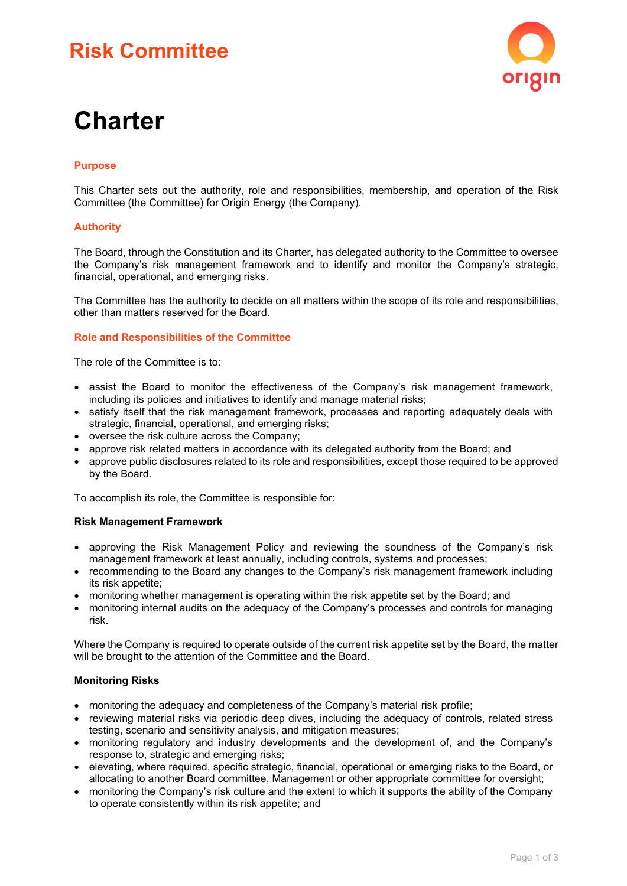# **Risk Committee**



# **Charter**

# **Purpose**

This Charter sets out the authority, role and responsibilities, membership, and operation of the Risk Committee (the Committee) for Origin Energy (the Company).

# **Authority**

The Board, through the Constitution and its Charter, has delegated authority to the Committee to oversee the Company's risk management framework and to identify and monitor the Company's strategic, financial, operational, and emerging risks.

The Committee has the authority to decide on all matters within the scope of its role and responsibilities, other than matters reserved for the Board.

#### **Role and Responsibilities of the Committee**

The role of the Committee is to:

- assist the Board to monitor the effectiveness of the Company's risk management framework, including its policies and initiatives to identify and manage material risks;
- satisfy itself that the risk management framework, processes and reporting adequately deals with strategic, financial, operational, and emerging risks;
- oversee the risk culture across the Company;
- approve risk related matters in accordance with its delegated authority from the Board; and
- approve public disclosures related to its role and responsibilities, except those required to be approved by the Board.

To accomplish its role, the Committee is responsible for:

#### **Risk Management Framework**

- approving the Risk Management Policy and reviewing the soundness of the Company's risk management framework at least annually, including controls, systems and processes;
- recommending to the Board any changes to the Company's risk management framework including its risk appetite;
- monitoring whether management is operating within the risk appetite set by the Board; and
- monitoring internal audits on the adequacy of the Company's processes and controls for managing risk.

Where the Company is required to operate outside of the current risk appetite set by the Board, the matter will be brought to the attention of the Committee and the Board.

#### **Monitoring Risks**

- monitoring the adequacy and completeness of the Company's material risk profile;
- reviewing material risks via periodic deep dives, including the adequacy of controls, related stress testing, scenario and sensitivity analysis, and mitigation measures;
- monitoring regulatory and industry developments and the development of, and the Company's response to, strategic and emerging risks;
- elevating, where required, specific strategic, financial, operational or emerging risks to the Board, or allocating to another Board committee, Management or other appropriate committee for oversight;
- monitoring the Company's risk culture and the extent to which it supports the ability of the Company to operate consistently within its risk appetite; and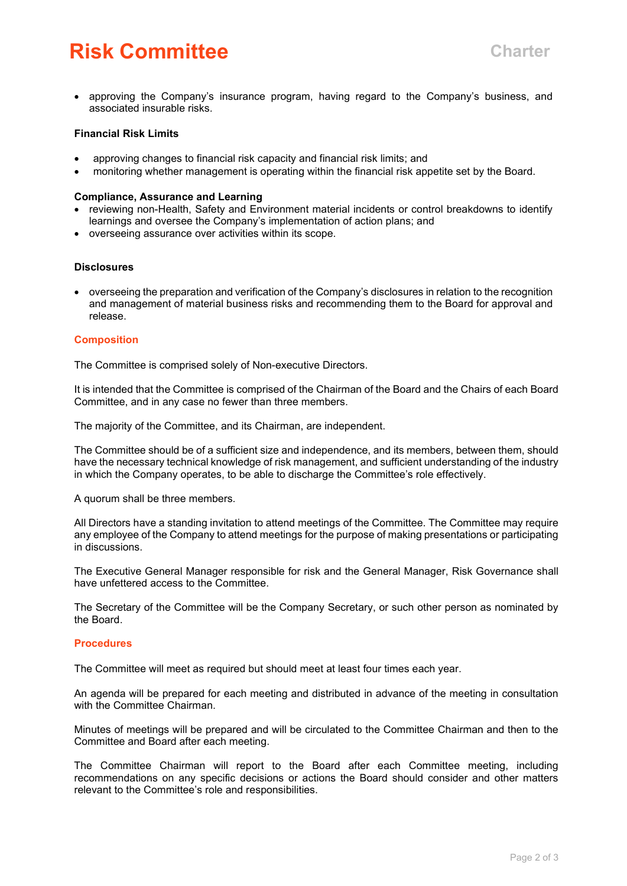# **Risk Committee Charter**

• approving the Company's insurance program, having regard to the Company's business, and associated insurable risks.

## **Financial Risk Limits**

- approving changes to financial risk capacity and financial risk limits; and
- monitoring whether management is operating within the financial risk appetite set by the Board.

#### **Compliance, Assurance and Learning**

- reviewing non-Health, Safety and Environment material incidents or control breakdowns to identify learnings and oversee the Company's implementation of action plans; and
- overseeing assurance over activities within its scope.

#### **Disclosures**

• overseeing the preparation and verification of the Company's disclosures in relation to the recognition and management of material business risks and recommending them to the Board for approval and release.

### **Composition**

The Committee is comprised solely of Non-executive Directors.

It is intended that the Committee is comprised of the Chairman of the Board and the Chairs of each Board Committee, and in any case no fewer than three members.

The majority of the Committee, and its Chairman, are independent.

The Committee should be of a sufficient size and independence, and its members, between them, should have the necessary technical knowledge of risk management, and sufficient understanding of the industry in which the Company operates, to be able to discharge the Committee's role effectively.

A quorum shall be three members.

All Directors have a standing invitation to attend meetings of the Committee. The Committee may require any employee of the Company to attend meetings for the purpose of making presentations or participating in discussions.

The Executive General Manager responsible for risk and the General Manager, Risk Governance shall have unfettered access to the Committee.

The Secretary of the Committee will be the Company Secretary, or such other person as nominated by the Board.

#### **Procedures**

The Committee will meet as required but should meet at least four times each year.

An agenda will be prepared for each meeting and distributed in advance of the meeting in consultation with the Committee Chairman.

Minutes of meetings will be prepared and will be circulated to the Committee Chairman and then to the Committee and Board after each meeting.

The Committee Chairman will report to the Board after each Committee meeting, including recommendations on any specific decisions or actions the Board should consider and other matters relevant to the Committee's role and responsibilities.